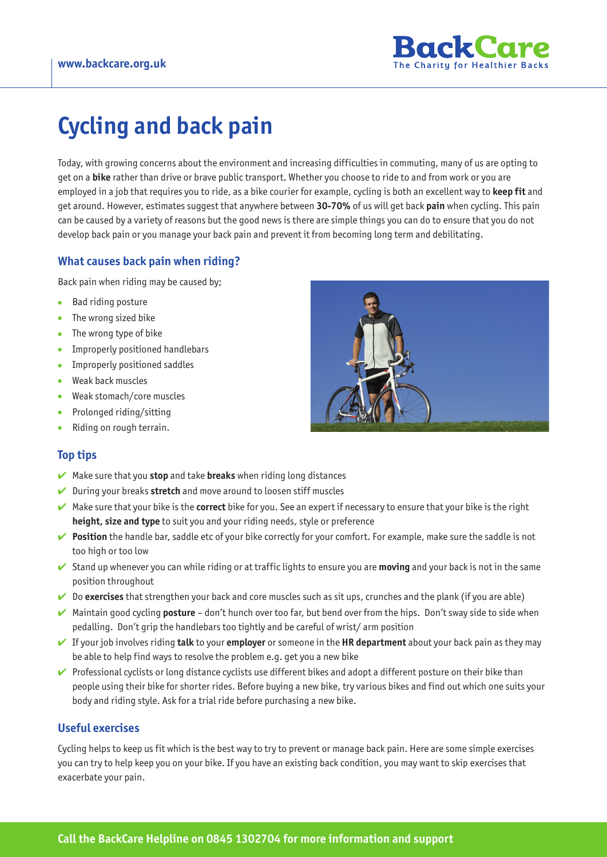

# **Cycling and back pain**

Today, with growing concerns about the environment and increasing difficulties in commuting, many of us are opting to get on a **bike** rather than drive or brave public transport. Whether you choose to ride to and from work or you are employed in a job that requires you to ride, as a bike courier for example, cycling is both an excellent way to **keep fit** and get around. However, estimates suggest that anywhere between **30-70%** of us will get back **pain** when cycling. This pain can be caused by a variety of reasons but the good news is there are simple things you can do to ensure that you do not develop back pain or you manage your back pain and prevent it from becoming long term and debilitating.

# **What causes back pain when riding?**

Back pain when riding may be caused by;

- Bad riding posture
- The wrong sized bike
- The wrong type of bike
- Improperly positioned handlebars
- Improperly positioned saddles
- Weak back muscles
- Weak stomach/core muscles
- Prolonged riding/sitting
- Riding on rough terrain.

# **Top tips**

- ✔ Make sure that you **stop** and take **breaks** when riding long distances
- ✔ During your breaks **stretch** and move around to loosen stiff muscles
- ✔ Make sure that your bike is the **correct** bike for you. See an expert if necessary to ensure that your bike is the right **height, size and type** to suit you and your riding needs, style or preference
- ✔ **Position** the handle bar, saddle etc of your bike correctly for your comfort. For example, make sure the saddle is not too high or too low
- ✔ Stand up whenever you can while riding or at traffic lights to ensure you are **moving** and your back is not in the same position throughout
- ✔ Do **exercises** that strengthen your back and core muscles such as sit ups, crunches and the plank (if you are able)
- ✔ Maintain good cycling **posture** don't hunch over too far, but bend over from the hips. Don't sway side to side when pedalling. Don't grip the handlebars too tightly and be careful of wrist/ arm position
- ✔ If your job involves riding **talk** to your **employer** or someone in the **HR department** about your back pain as they may be able to help find ways to resolve the problem e.g. get you a new bike
- ✔ Professional cyclists or long distance cyclists use different bikes and adopt a different posture on their bike than people using their bike for shorter rides. Before buying a new bike, try various bikes and find out which one suits your body and riding style. Ask for a trial ride before purchasing a new bike.

# **Useful exercises**

Cycling helps to keep us fit which is the best way to try to prevent or manage back pain. Here are some simple exercises you can try to help keep you on your bike. If you have an existing back condition, you may want to skip exercises that exacerbate your pain.